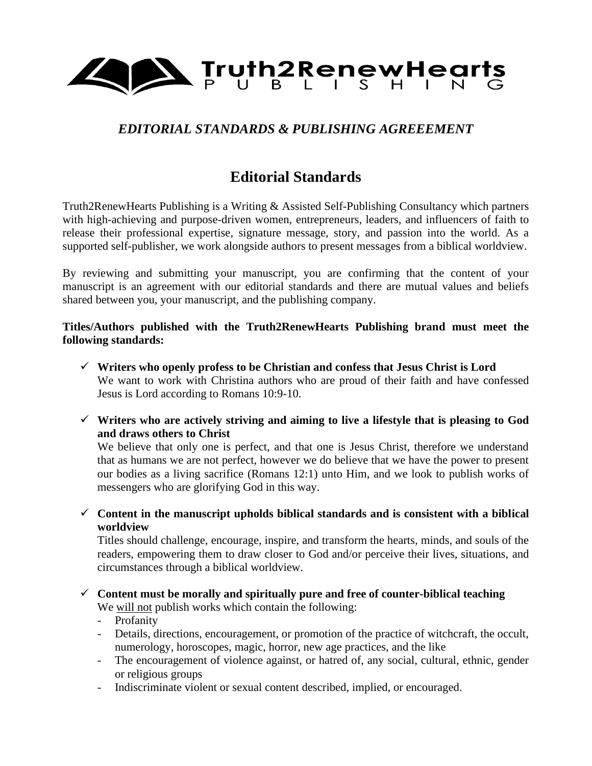

# *EDITORIAL STANDARDS & PUBLISHING AGREEEMENT*

# **Editorial Standards**

Truth2RenewHearts Publishing is a Writing & Assisted Self-Publishing Consultancy which partners with high-achieving and purpose-driven women, entrepreneurs, leaders, and influencers of faith to release their professional expertise, signature message, story, and passion into the world. As a supported self-publisher, we work alongside authors to present messages from a biblical worldview.

By reviewing and submitting your manuscript, you are confirming that the content of your manuscript is an agreement with our editorial standards and there are mutual values and beliefs shared between you, your manuscript, and the publishing company.

#### **Titles/Authors published with the Truth2RenewHearts Publishing brand must meet the following standards:**

- ✓ **Writers who openly profess to be Christian and confess that Jesus Christ is Lord** We want to work with Christina authors who are proud of their faith and have confessed Jesus is Lord according to Romans 10:9-10.
- ✓ **Writers who are actively striving and aiming to live a lifestyle that is pleasing to God and draws others to Christ**

We believe that only one is perfect, and that one is Jesus Christ, therefore we understand that as humans we are not perfect, however we do believe that we have the power to present our bodies as a living sacrifice (Romans 12:1) unto Him, and we look to publish works of messengers who are glorifying God in this way.

✓ **Content in the manuscript upholds biblical standards and is consistent with a biblical worldview**

Titles should challenge, encourage, inspire, and transform the hearts, minds, and souls of the readers, empowering them to draw closer to God and/or perceive their lives, situations, and circumstances through a biblical worldview.

- ✓ **Content must be morally and spiritually pure and free of counter-biblical teaching** We will not publish works which contain the following:
	- Profanity
	- Details, directions, encouragement, or promotion of the practice of witchcraft, the occult, numerology, horoscopes, magic, horror, new age practices, and the like
	- The encouragement of violence against, or hatred of, any social, cultural, ethnic, gender or religious groups
	- Indiscriminate violent or sexual content described, implied, or encouraged.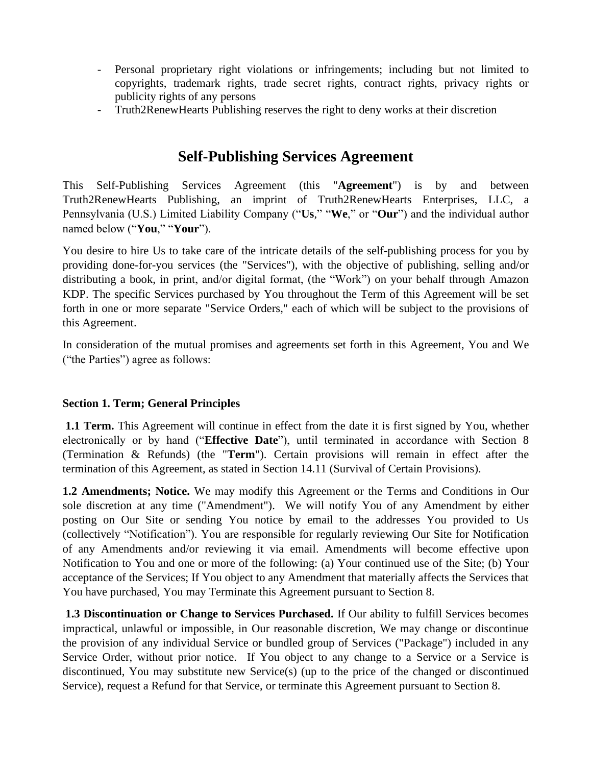- Personal proprietary right violations or infringements; including but not limited to copyrights, trademark rights, trade secret rights, contract rights, privacy rights or publicity rights of any persons
- Truth2RenewHearts Publishing reserves the right to deny works at their discretion

# **Self-Publishing Services Agreement**

This Self-Publishing Services Agreement (this "**Agreement**") is by and between Truth2RenewHearts Publishing, an imprint of Truth2RenewHearts Enterprises, LLC, a Pennsylvania (U.S.) Limited Liability Company ("**Us**," "**We**," or "**Our**") and the individual author named below ("**You**," "**Your**").

You desire to hire Us to take care of the intricate details of the self-publishing process for you by providing done-for-you services (the "Services"), with the objective of publishing, selling and/or distributing a book, in print, and/or digital format, (the "Work") on your behalf through Amazon KDP. The specific Services purchased by You throughout the Term of this Agreement will be set forth in one or more separate "Service Orders," each of which will be subject to the provisions of this Agreement.

In consideration of the mutual promises and agreements set forth in this Agreement, You and We ("the Parties") agree as follows:

## **Section 1. Term; General Principles**

**1.1 Term.** This Agreement will continue in effect from the date it is first signed by You, whether electronically or by hand ("**Effective Date**"), until terminated in accordance with Section 8 (Termination & Refunds) (the "**Term**"). Certain provisions will remain in effect after the termination of this Agreement, as stated in Section 14.11 (Survival of Certain Provisions).

**1.2 Amendments; Notice.** We may modify this Agreement or the Terms and Conditions in Our sole discretion at any time ("Amendment"). We will notify You of any Amendment by either posting on Our Site or sending You notice by email to the addresses You provided to Us (collectively "Notification"). You are responsible for regularly reviewing Our Site for Notification of any Amendments and/or reviewing it via email. Amendments will become effective upon Notification to You and one or more of the following: (a) Your continued use of the Site; (b) Your acceptance of the Services; If You object to any Amendment that materially affects the Services that You have purchased, You may Terminate this Agreement pursuant to Section 8.

**1.3 Discontinuation or Change to Services Purchased.** If Our ability to fulfill Services becomes impractical, unlawful or impossible, in Our reasonable discretion, We may change or discontinue the provision of any individual Service or bundled group of Services ("Package") included in any Service Order, without prior notice. If You object to any change to a Service or a Service is discontinued, You may substitute new Service(s) (up to the price of the changed or discontinued Service), request a Refund for that Service, or terminate this Agreement pursuant to Section 8.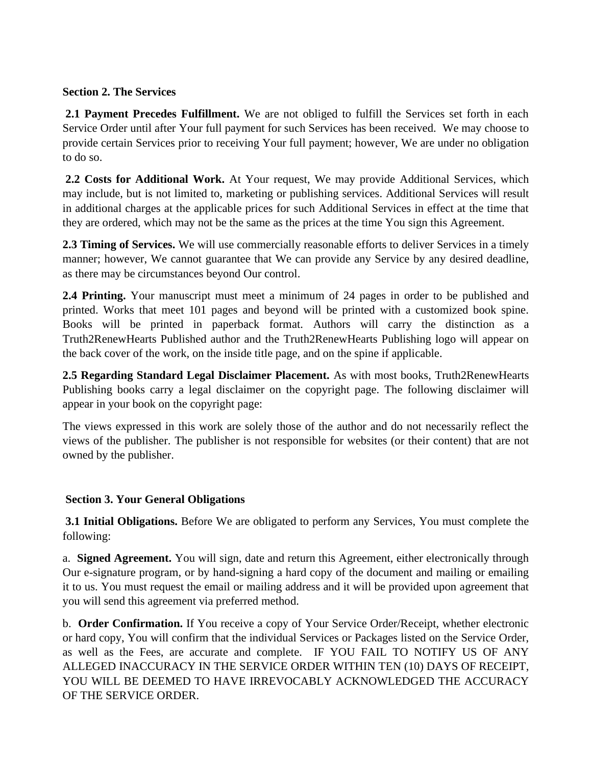#### **Section 2. The Services**

**2.1 Payment Precedes Fulfillment.** We are not obliged to fulfill the Services set forth in each Service Order until after Your full payment for such Services has been received. We may choose to provide certain Services prior to receiving Your full payment; however, We are under no obligation to do so.

**2.2 Costs for Additional Work.** At Your request, We may provide Additional Services, which may include, but is not limited to, marketing or publishing services. Additional Services will result in additional charges at the applicable prices for such Additional Services in effect at the time that they are ordered, which may not be the same as the prices at the time You sign this Agreement.

**2.3 Timing of Services.** We will use commercially reasonable efforts to deliver Services in a timely manner; however, We cannot guarantee that We can provide any Service by any desired deadline, as there may be circumstances beyond Our control.

**2.4 Printing.** Your manuscript must meet a minimum of 24 pages in order to be published and printed. Works that meet 101 pages and beyond will be printed with a customized book spine. Books will be printed in paperback format. Authors will carry the distinction as a Truth2RenewHearts Published author and the Truth2RenewHearts Publishing logo will appear on the back cover of the work, on the inside title page, and on the spine if applicable.

**2.5 Regarding Standard Legal Disclaimer Placement.** As with most books, Truth2RenewHearts Publishing books carry a legal disclaimer on the copyright page. The following disclaimer will appear in your book on the copyright page:

The views expressed in this work are solely those of the author and do not necessarily reflect the views of the publisher. The publisher is not responsible for websites (or their content) that are not owned by the publisher.

## **Section 3. Your General Obligations**

**3.1 Initial Obligations.** Before We are obligated to perform any Services, You must complete the following:

a. **Signed Agreement.** You will sign, date and return this Agreement, either electronically through Our e-signature program, or by hand-signing a hard copy of the document and mailing or emailing it to us. You must request the email or mailing address and it will be provided upon agreement that you will send this agreement via preferred method.

b. **Order Confirmation.** If You receive a copy of Your Service Order/Receipt, whether electronic or hard copy, You will confirm that the individual Services or Packages listed on the Service Order, as well as the Fees, are accurate and complete. IF YOU FAIL TO NOTIFY US OF ANY ALLEGED INACCURACY IN THE SERVICE ORDER WITHIN TEN (10) DAYS OF RECEIPT, YOU WILL BE DEEMED TO HAVE IRREVOCABLY ACKNOWLEDGED THE ACCURACY OF THE SERVICE ORDER.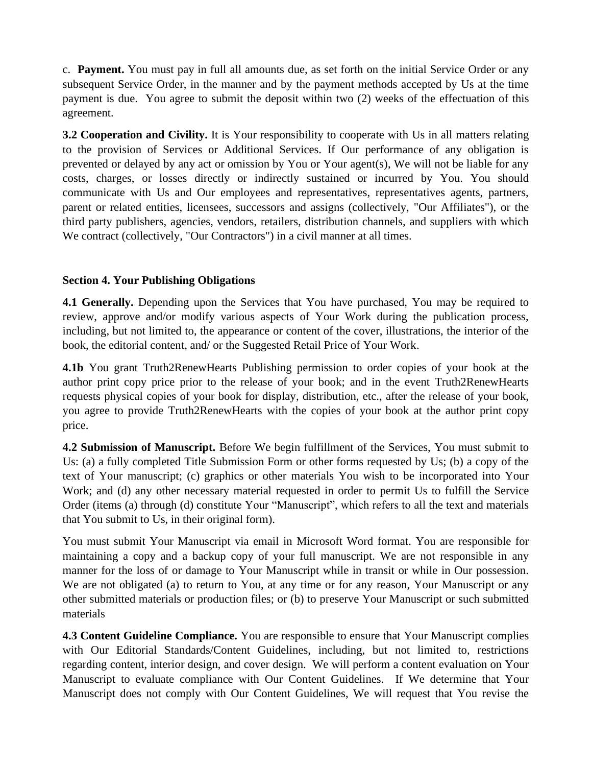c. **Payment.** You must pay in full all amounts due, as set forth on the initial Service Order or any subsequent Service Order, in the manner and by the payment methods accepted by Us at the time payment is due. You agree to submit the deposit within two (2) weeks of the effectuation of this agreement.

**3.2 Cooperation and Civility.** It is Your responsibility to cooperate with Us in all matters relating to the provision of Services or Additional Services. If Our performance of any obligation is prevented or delayed by any act or omission by You or Your agent(s), We will not be liable for any costs, charges, or losses directly or indirectly sustained or incurred by You. You should communicate with Us and Our employees and representatives, representatives agents, partners, parent or related entities, licensees, successors and assigns (collectively, "Our Affiliates"), or the third party publishers, agencies, vendors, retailers, distribution channels, and suppliers with which We contract (collectively, "Our Contractors") in a civil manner at all times.

## **Section 4. Your Publishing Obligations**

**4.1 Generally.** Depending upon the Services that You have purchased, You may be required to review, approve and/or modify various aspects of Your Work during the publication process, including, but not limited to, the appearance or content of the cover, illustrations, the interior of the book, the editorial content, and/ or the Suggested Retail Price of Your Work.

**4.1b** You grant Truth2RenewHearts Publishing permission to order copies of your book at the author print copy price prior to the release of your book; and in the event Truth2RenewHearts requests physical copies of your book for display, distribution, etc., after the release of your book, you agree to provide Truth2RenewHearts with the copies of your book at the author print copy price.

**4.2 Submission of Manuscript.** Before We begin fulfillment of the Services, You must submit to Us: (a) a fully completed Title Submission Form or other forms requested by Us; (b) a copy of the text of Your manuscript; (c) graphics or other materials You wish to be incorporated into Your Work; and (d) any other necessary material requested in order to permit Us to fulfill the Service Order (items (a) through (d) constitute Your "Manuscript", which refers to all the text and materials that You submit to Us, in their original form).

You must submit Your Manuscript via email in Microsoft Word format. You are responsible for maintaining a copy and a backup copy of your full manuscript. We are not responsible in any manner for the loss of or damage to Your Manuscript while in transit or while in Our possession. We are not obligated (a) to return to You, at any time or for any reason, Your Manuscript or any other submitted materials or production files; or (b) to preserve Your Manuscript or such submitted materials

**4.3 Content Guideline Compliance.** You are responsible to ensure that Your Manuscript complies with Our Editorial Standards/Content Guidelines, including, but not limited to, restrictions regarding content, interior design, and cover design. We will perform a content evaluation on Your Manuscript to evaluate compliance with Our Content Guidelines. If We determine that Your Manuscript does not comply with Our Content Guidelines, We will request that You revise the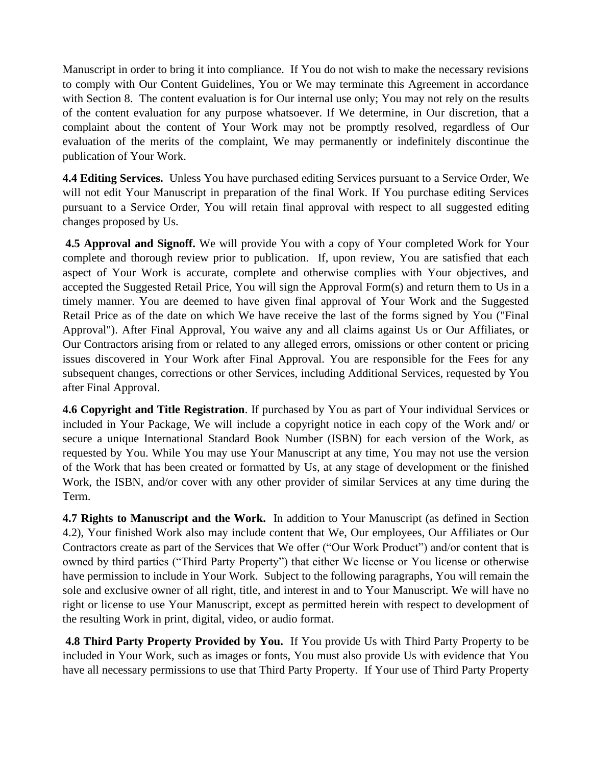Manuscript in order to bring it into compliance. If You do not wish to make the necessary revisions to comply with Our Content Guidelines, You or We may terminate this Agreement in accordance with Section 8. The content evaluation is for Our internal use only; You may not rely on the results of the content evaluation for any purpose whatsoever. If We determine, in Our discretion, that a complaint about the content of Your Work may not be promptly resolved, regardless of Our evaluation of the merits of the complaint, We may permanently or indefinitely discontinue the publication of Your Work.

**4.4 Editing Services.** Unless You have purchased editing Services pursuant to a Service Order, We will not edit Your Manuscript in preparation of the final Work. If You purchase editing Services pursuant to a Service Order, You will retain final approval with respect to all suggested editing changes proposed by Us.

**4.5 Approval and Signoff.** We will provide You with a copy of Your completed Work for Your complete and thorough review prior to publication. If, upon review, You are satisfied that each aspect of Your Work is accurate, complete and otherwise complies with Your objectives, and accepted the Suggested Retail Price, You will sign the Approval Form(s) and return them to Us in a timely manner. You are deemed to have given final approval of Your Work and the Suggested Retail Price as of the date on which We have receive the last of the forms signed by You ("Final Approval"). After Final Approval, You waive any and all claims against Us or Our Affiliates, or Our Contractors arising from or related to any alleged errors, omissions or other content or pricing issues discovered in Your Work after Final Approval. You are responsible for the Fees for any subsequent changes, corrections or other Services, including Additional Services, requested by You after Final Approval.

**4.6 Copyright and Title Registration**. If purchased by You as part of Your individual Services or included in Your Package, We will include a copyright notice in each copy of the Work and/ or secure a unique International Standard Book Number (ISBN) for each version of the Work, as requested by You. While You may use Your Manuscript at any time, You may not use the version of the Work that has been created or formatted by Us, at any stage of development or the finished Work, the ISBN, and/or cover with any other provider of similar Services at any time during the Term.

**4.7 Rights to Manuscript and the Work.** In addition to Your Manuscript (as defined in Section 4.2), Your finished Work also may include content that We, Our employees, Our Affiliates or Our Contractors create as part of the Services that We offer ("Our Work Product") and/or content that is owned by third parties ("Third Party Property") that either We license or You license or otherwise have permission to include in Your Work. Subject to the following paragraphs, You will remain the sole and exclusive owner of all right, title, and interest in and to Your Manuscript. We will have no right or license to use Your Manuscript, except as permitted herein with respect to development of the resulting Work in print, digital, video, or audio format.

**4.8 Third Party Property Provided by You.** If You provide Us with Third Party Property to be included in Your Work, such as images or fonts, You must also provide Us with evidence that You have all necessary permissions to use that Third Party Property. If Your use of Third Party Property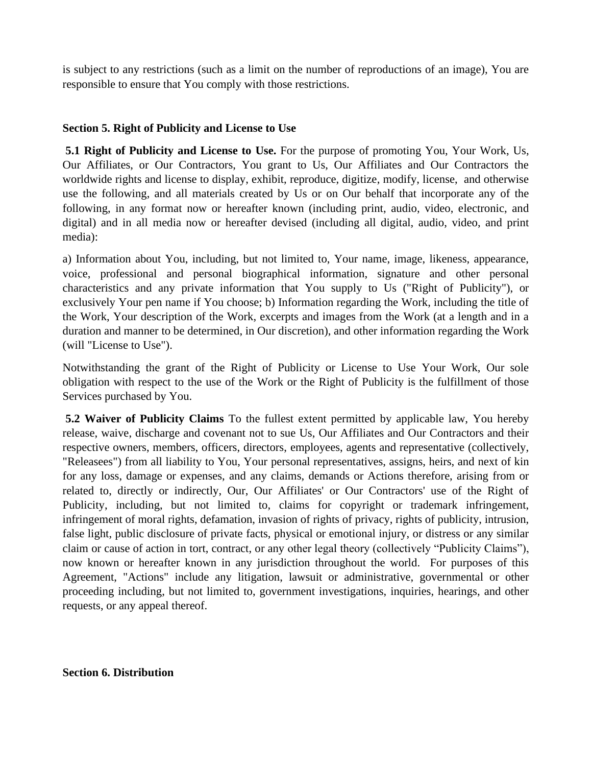is subject to any restrictions (such as a limit on the number of reproductions of an image), You are responsible to ensure that You comply with those restrictions.

## **Section 5. Right of Publicity and License to Use**

**5.1 Right of Publicity and License to Use.** For the purpose of promoting You, Your Work, Us, Our Affiliates, or Our Contractors, You grant to Us, Our Affiliates and Our Contractors the worldwide rights and license to display, exhibit, reproduce, digitize, modify, license, and otherwise use the following, and all materials created by Us or on Our behalf that incorporate any of the following, in any format now or hereafter known (including print, audio, video, electronic, and digital) and in all media now or hereafter devised (including all digital, audio, video, and print media):

a) Information about You, including, but not limited to, Your name, image, likeness, appearance, voice, professional and personal biographical information, signature and other personal characteristics and any private information that You supply to Us ("Right of Publicity"), or exclusively Your pen name if You choose; b) Information regarding the Work, including the title of the Work, Your description of the Work, excerpts and images from the Work (at a length and in a duration and manner to be determined, in Our discretion), and other information regarding the Work (will "License to Use").

Notwithstanding the grant of the Right of Publicity or License to Use Your Work, Our sole obligation with respect to the use of the Work or the Right of Publicity is the fulfillment of those Services purchased by You.

**5.2 Waiver of Publicity Claims** To the fullest extent permitted by applicable law, You hereby release, waive, discharge and covenant not to sue Us, Our Affiliates and Our Contractors and their respective owners, members, officers, directors, employees, agents and representative (collectively, "Releasees") from all liability to You, Your personal representatives, assigns, heirs, and next of kin for any loss, damage or expenses, and any claims, demands or Actions therefore, arising from or related to, directly or indirectly, Our, Our Affiliates' or Our Contractors' use of the Right of Publicity, including, but not limited to, claims for copyright or trademark infringement, infringement of moral rights, defamation, invasion of rights of privacy, rights of publicity, intrusion, false light, public disclosure of private facts, physical or emotional injury, or distress or any similar claim or cause of action in tort, contract, or any other legal theory (collectively "Publicity Claims"), now known or hereafter known in any jurisdiction throughout the world. For purposes of this Agreement, "Actions" include any litigation, lawsuit or administrative, governmental or other proceeding including, but not limited to, government investigations, inquiries, hearings, and other requests, or any appeal thereof.

**Section 6. Distribution**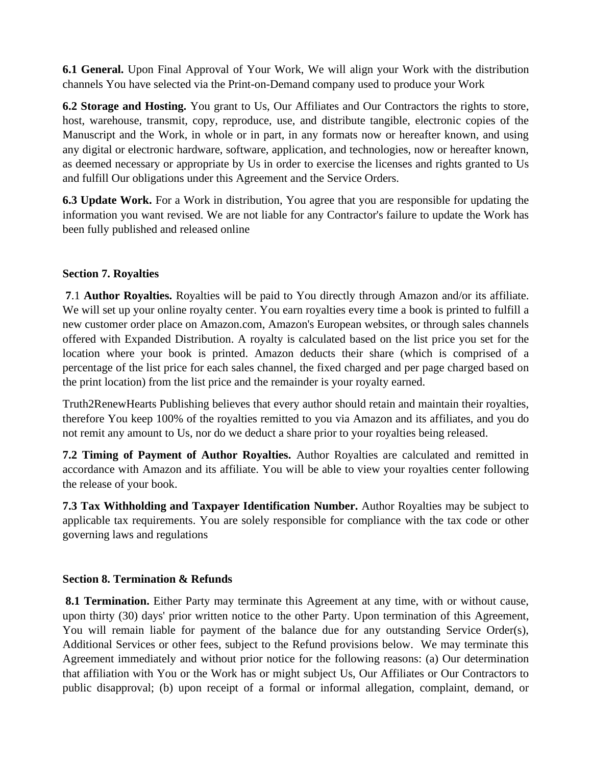**6.1 General.** Upon Final Approval of Your Work, We will align your Work with the distribution channels You have selected via the Print-on-Demand company used to produce your Work

**6.2 Storage and Hosting.** You grant to Us, Our Affiliates and Our Contractors the rights to store, host, warehouse, transmit, copy, reproduce, use, and distribute tangible, electronic copies of the Manuscript and the Work, in whole or in part, in any formats now or hereafter known, and using any digital or electronic hardware, software, application, and technologies, now or hereafter known, as deemed necessary or appropriate by Us in order to exercise the licenses and rights granted to Us and fulfill Our obligations under this Agreement and the Service Orders.

**6.3 Update Work.** For a Work in distribution, You agree that you are responsible for updating the information you want revised. We are not liable for any Contractor's failure to update the Work has been fully published and released online

## **Section 7. Royalties**

**7**.1 **Author Royalties.** Royalties will be paid to You directly through Amazon and/or its affiliate. We will set up your online royalty center. You earn royalties every time a book is printed to fulfill a new customer order place on Amazon.com, Amazon's European websites, or through sales channels offered with Expanded Distribution. A royalty is calculated based on the list price you set for the location where your book is printed. Amazon deducts their share (which is comprised of a percentage of the list price for each sales channel, the fixed charged and per page charged based on the print location) from the list price and the remainder is your royalty earned.

Truth2RenewHearts Publishing believes that every author should retain and maintain their royalties, therefore You keep 100% of the royalties remitted to you via Amazon and its affiliates, and you do not remit any amount to Us, nor do we deduct a share prior to your royalties being released.

**7.2 Timing of Payment of Author Royalties.** Author Royalties are calculated and remitted in accordance with Amazon and its affiliate. You will be able to view your royalties center following the release of your book.

**7.3 Tax Withholding and Taxpayer Identification Number.** Author Royalties may be subject to applicable tax requirements. You are solely responsible for compliance with the tax code or other governing laws and regulations

## **Section 8. Termination & Refunds**

**8.1 Termination.** Either Party may terminate this Agreement at any time, with or without cause, upon thirty (30) days' prior written notice to the other Party. Upon termination of this Agreement, You will remain liable for payment of the balance due for any outstanding Service Order(s), Additional Services or other fees, subject to the Refund provisions below. We may terminate this Agreement immediately and without prior notice for the following reasons: (a) Our determination that affiliation with You or the Work has or might subject Us, Our Affiliates or Our Contractors to public disapproval; (b) upon receipt of a formal or informal allegation, complaint, demand, or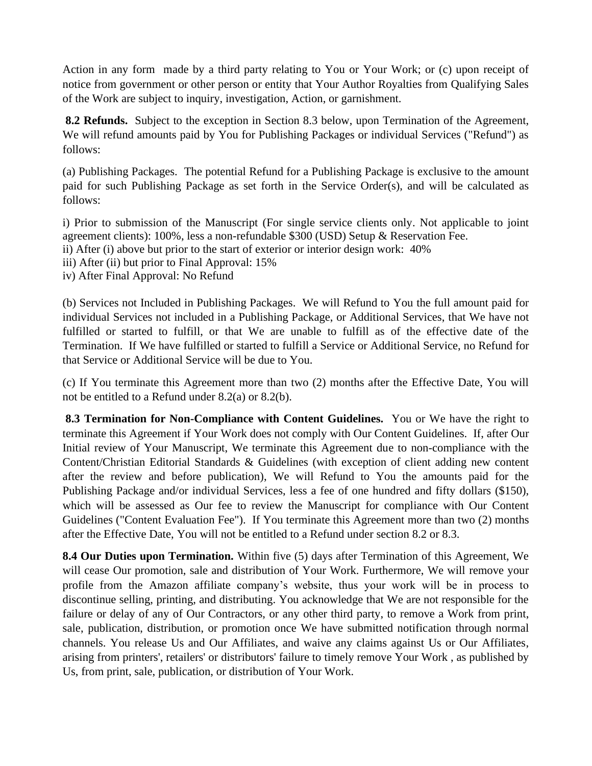Action in any form made by a third party relating to You or Your Work; or (c) upon receipt of notice from government or other person or entity that Your Author Royalties from Qualifying Sales of the Work are subject to inquiry, investigation, Action, or garnishment.

**8.2 Refunds.** Subject to the exception in Section 8.3 below, upon Termination of the Agreement, We will refund amounts paid by You for Publishing Packages or individual Services ("Refund") as follows:

(a) Publishing Packages. The potential Refund for a Publishing Package is exclusive to the amount paid for such Publishing Package as set forth in the Service Order(s), and will be calculated as follows:

i) Prior to submission of the Manuscript (For single service clients only. Not applicable to joint agreement clients): 100%, less a non-refundable \$300 (USD) Setup & Reservation Fee. ii) After (i) above but prior to the start of exterior or interior design work: 40% iii) After (ii) but prior to Final Approval: 15%

iv) After Final Approval: No Refund

(b) Services not Included in Publishing Packages. We will Refund to You the full amount paid for individual Services not included in a Publishing Package, or Additional Services, that We have not fulfilled or started to fulfill, or that We are unable to fulfill as of the effective date of the Termination. If We have fulfilled or started to fulfill a Service or Additional Service, no Refund for that Service or Additional Service will be due to You.

(c) If You terminate this Agreement more than two (2) months after the Effective Date, You will not be entitled to a Refund under 8.2(a) or 8.2(b).

**8.3 Termination for Non-Compliance with Content Guidelines.** You or We have the right to terminate this Agreement if Your Work does not comply with Our Content Guidelines. If, after Our Initial review of Your Manuscript, We terminate this Agreement due to non-compliance with the Content/Christian Editorial Standards & Guidelines (with exception of client adding new content after the review and before publication), We will Refund to You the amounts paid for the Publishing Package and/or individual Services, less a fee of one hundred and fifty dollars (\$150), which will be assessed as Our fee to review the Manuscript for compliance with Our Content Guidelines ("Content Evaluation Fee"). If You terminate this Agreement more than two (2) months after the Effective Date, You will not be entitled to a Refund under section 8.2 or 8.3.

**8.4 Our Duties upon Termination.** Within five (5) days after Termination of this Agreement, We will cease Our promotion, sale and distribution of Your Work. Furthermore, We will remove your profile from the Amazon affiliate company's website, thus your work will be in process to discontinue selling, printing, and distributing. You acknowledge that We are not responsible for the failure or delay of any of Our Contractors, or any other third party, to remove a Work from print, sale, publication, distribution, or promotion once We have submitted notification through normal channels. You release Us and Our Affiliates, and waive any claims against Us or Our Affiliates, arising from printers', retailers' or distributors' failure to timely remove Your Work , as published by Us, from print, sale, publication, or distribution of Your Work.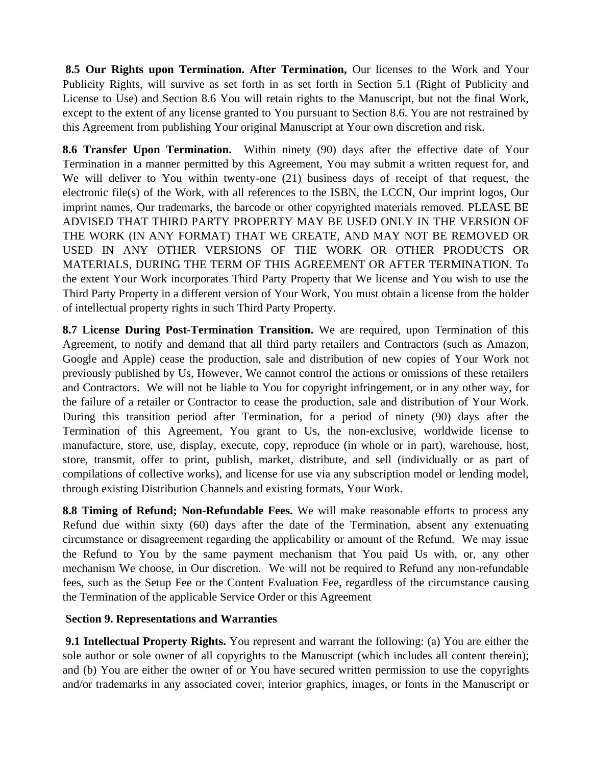**8.5 Our Rights upon Termination. After Termination,** Our licenses to the Work and Your Publicity Rights, will survive as set forth in as set forth in Section 5.1 (Right of Publicity and License to Use) and Section 8.6 You will retain rights to the Manuscript, but not the final Work, except to the extent of any license granted to You pursuant to Section 8.6. You are not restrained by this Agreement from publishing Your original Manuscript at Your own discretion and risk.

**8.6 Transfer Upon Termination.** Within ninety (90) days after the effective date of Your Termination in a manner permitted by this Agreement, You may submit a written request for, and We will deliver to You within twenty-one (21) business days of receipt of that request, the electronic file(s) of the Work, with all references to the ISBN, the LCCN, Our imprint logos, Our imprint names, Our trademarks, the barcode or other copyrighted materials removed. PLEASE BE ADVISED THAT THIRD PARTY PROPERTY MAY BE USED ONLY IN THE VERSION OF THE WORK (IN ANY FORMAT) THAT WE CREATE, AND MAY NOT BE REMOVED OR USED IN ANY OTHER VERSIONS OF THE WORK OR OTHER PRODUCTS OR MATERIALS, DURING THE TERM OF THIS AGREEMENT OR AFTER TERMINATION. To the extent Your Work incorporates Third Party Property that We license and You wish to use the Third Party Property in a different version of Your Work, You must obtain a license from the holder of intellectual property rights in such Third Party Property.

**8.7 License During Post-Termination Transition.** We are required, upon Termination of this Agreement, to notify and demand that all third party retailers and Contractors (such as Amazon, Google and Apple) cease the production, sale and distribution of new copies of Your Work not previously published by Us, However, We cannot control the actions or omissions of these retailers and Contractors. We will not be liable to You for copyright infringement, or in any other way, for the failure of a retailer or Contractor to cease the production, sale and distribution of Your Work. During this transition period after Termination, for a period of ninety (90) days after the Termination of this Agreement, You grant to Us, the non-exclusive, worldwide license to manufacture, store, use, display, execute, copy, reproduce (in whole or in part), warehouse, host, store, transmit, offer to print, publish, market, distribute, and sell (individually or as part of compilations of collective works), and license for use via any subscription model or lending model, through existing Distribution Channels and existing formats, Your Work.

**8.8 Timing of Refund; Non-Refundable Fees.** We will make reasonable efforts to process any Refund due within sixty (60) days after the date of the Termination, absent any extenuating circumstance or disagreement regarding the applicability or amount of the Refund. We may issue the Refund to You by the same payment mechanism that You paid Us with, or, any other mechanism We choose, in Our discretion. We will not be required to Refund any non-refundable fees, such as the Setup Fee or the Content Evaluation Fee, regardless of the circumstance causing the Termination of the applicable Service Order or this Agreement

## **Section 9. Representations and Warranties**

**9.1 Intellectual Property Rights.** You represent and warrant the following: (a) You are either the sole author or sole owner of all copyrights to the Manuscript (which includes all content therein); and (b) You are either the owner of or You have secured written permission to use the copyrights and/or trademarks in any associated cover, interior graphics, images, or fonts in the Manuscript or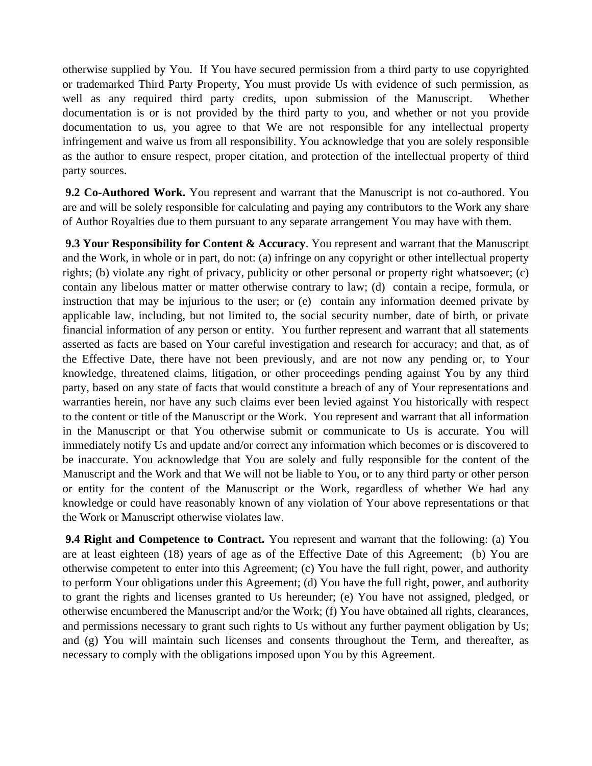otherwise supplied by You. If You have secured permission from a third party to use copyrighted or trademarked Third Party Property, You must provide Us with evidence of such permission, as well as any required third party credits, upon submission of the Manuscript. Whether documentation is or is not provided by the third party to you, and whether or not you provide documentation to us, you agree to that We are not responsible for any intellectual property infringement and waive us from all responsibility. You acknowledge that you are solely responsible as the author to ensure respect, proper citation, and protection of the intellectual property of third party sources.

**9.2 Co-Authored Work.** You represent and warrant that the Manuscript is not co-authored. You are and will be solely responsible for calculating and paying any contributors to the Work any share of Author Royalties due to them pursuant to any separate arrangement You may have with them.

**9.3 Your Responsibility for Content & Accuracy**. You represent and warrant that the Manuscript and the Work, in whole or in part, do not: (a) infringe on any copyright or other intellectual property rights; (b) violate any right of privacy, publicity or other personal or property right whatsoever; (c) contain any libelous matter or matter otherwise contrary to law; (d) contain a recipe, formula, or instruction that may be injurious to the user; or (e) contain any information deemed private by applicable law, including, but not limited to, the social security number, date of birth, or private financial information of any person or entity. You further represent and warrant that all statements asserted as facts are based on Your careful investigation and research for accuracy; and that, as of the Effective Date, there have not been previously, and are not now any pending or, to Your knowledge, threatened claims, litigation, or other proceedings pending against You by any third party, based on any state of facts that would constitute a breach of any of Your representations and warranties herein, nor have any such claims ever been levied against You historically with respect to the content or title of the Manuscript or the Work. You represent and warrant that all information in the Manuscript or that You otherwise submit or communicate to Us is accurate. You will immediately notify Us and update and/or correct any information which becomes or is discovered to be inaccurate. You acknowledge that You are solely and fully responsible for the content of the Manuscript and the Work and that We will not be liable to You, or to any third party or other person or entity for the content of the Manuscript or the Work, regardless of whether We had any knowledge or could have reasonably known of any violation of Your above representations or that the Work or Manuscript otherwise violates law.

**9.4 Right and Competence to Contract.** You represent and warrant that the following: (a) You are at least eighteen (18) years of age as of the Effective Date of this Agreement; (b) You are otherwise competent to enter into this Agreement; (c) You have the full right, power, and authority to perform Your obligations under this Agreement; (d) You have the full right, power, and authority to grant the rights and licenses granted to Us hereunder; (e) You have not assigned, pledged, or otherwise encumbered the Manuscript and/or the Work; (f) You have obtained all rights, clearances, and permissions necessary to grant such rights to Us without any further payment obligation by Us; and (g) You will maintain such licenses and consents throughout the Term, and thereafter, as necessary to comply with the obligations imposed upon You by this Agreement.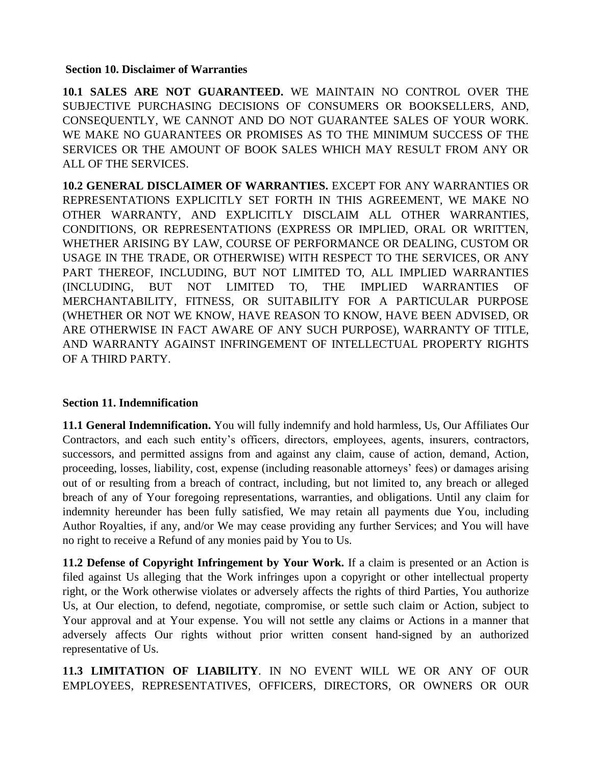#### **Section 10. Disclaimer of Warranties**

**10.1 SALES ARE NOT GUARANTEED.** WE MAINTAIN NO CONTROL OVER THE SUBJECTIVE PURCHASING DECISIONS OF CONSUMERS OR BOOKSELLERS, AND, CONSEQUENTLY, WE CANNOT AND DO NOT GUARANTEE SALES OF YOUR WORK. WE MAKE NO GUARANTEES OR PROMISES AS TO THE MINIMUM SUCCESS OF THE SERVICES OR THE AMOUNT OF BOOK SALES WHICH MAY RESULT FROM ANY OR ALL OF THE SERVICES.

**10.2 GENERAL DISCLAIMER OF WARRANTIES.** EXCEPT FOR ANY WARRANTIES OR REPRESENTATIONS EXPLICITLY SET FORTH IN THIS AGREEMENT, WE MAKE NO OTHER WARRANTY, AND EXPLICITLY DISCLAIM ALL OTHER WARRANTIES, CONDITIONS, OR REPRESENTATIONS (EXPRESS OR IMPLIED, ORAL OR WRITTEN, WHETHER ARISING BY LAW, COURSE OF PERFORMANCE OR DEALING, CUSTOM OR USAGE IN THE TRADE, OR OTHERWISE) WITH RESPECT TO THE SERVICES, OR ANY PART THEREOF, INCLUDING, BUT NOT LIMITED TO, ALL IMPLIED WARRANTIES (INCLUDING, BUT NOT LIMITED TO, THE IMPLIED WARRANTIES OF MERCHANTABILITY, FITNESS, OR SUITABILITY FOR A PARTICULAR PURPOSE (WHETHER OR NOT WE KNOW, HAVE REASON TO KNOW, HAVE BEEN ADVISED, OR ARE OTHERWISE IN FACT AWARE OF ANY SUCH PURPOSE), WARRANTY OF TITLE, AND WARRANTY AGAINST INFRINGEMENT OF INTELLECTUAL PROPERTY RIGHTS OF A THIRD PARTY.

## **Section 11. Indemnification**

**11.1 General Indemnification.** You will fully indemnify and hold harmless, Us, Our Affiliates Our Contractors, and each such entity's officers, directors, employees, agents, insurers, contractors, successors, and permitted assigns from and against any claim, cause of action, demand, Action, proceeding, losses, liability, cost, expense (including reasonable attorneys' fees) or damages arising out of or resulting from a breach of contract, including, but not limited to, any breach or alleged breach of any of Your foregoing representations, warranties, and obligations. Until any claim for indemnity hereunder has been fully satisfied, We may retain all payments due You, including Author Royalties, if any, and/or We may cease providing any further Services; and You will have no right to receive a Refund of any monies paid by You to Us.

**11.2 Defense of Copyright Infringement by Your Work.** If a claim is presented or an Action is filed against Us alleging that the Work infringes upon a copyright or other intellectual property right, or the Work otherwise violates or adversely affects the rights of third Parties, You authorize Us, at Our election, to defend, negotiate, compromise, or settle such claim or Action, subject to Your approval and at Your expense. You will not settle any claims or Actions in a manner that adversely affects Our rights without prior written consent hand-signed by an authorized representative of Us.

**11.3 LIMITATION OF LIABILITY**. IN NO EVENT WILL WE OR ANY OF OUR EMPLOYEES, REPRESENTATIVES, OFFICERS, DIRECTORS, OR OWNERS OR OUR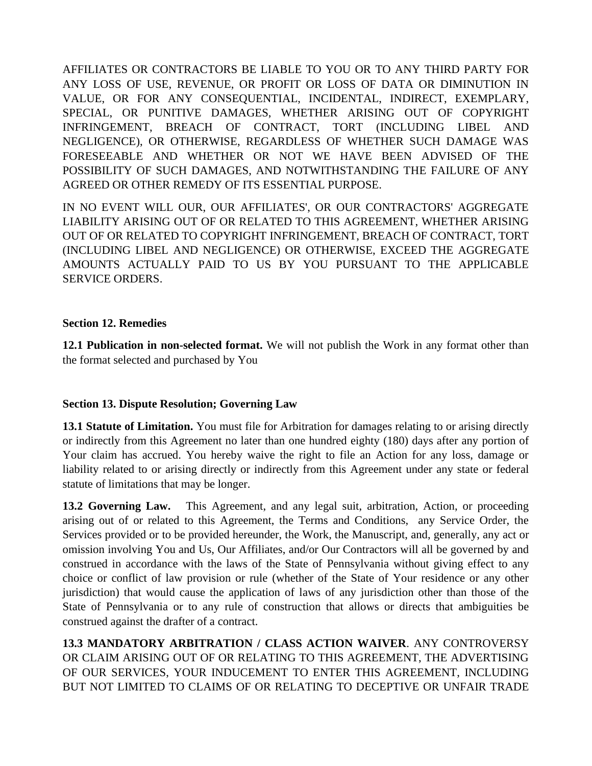AFFILIATES OR CONTRACTORS BE LIABLE TO YOU OR TO ANY THIRD PARTY FOR ANY LOSS OF USE, REVENUE, OR PROFIT OR LOSS OF DATA OR DIMINUTION IN VALUE, OR FOR ANY CONSEQUENTIAL, INCIDENTAL, INDIRECT, EXEMPLARY, SPECIAL, OR PUNITIVE DAMAGES, WHETHER ARISING OUT OF COPYRIGHT INFRINGEMENT, BREACH OF CONTRACT, TORT (INCLUDING LIBEL AND NEGLIGENCE), OR OTHERWISE, REGARDLESS OF WHETHER SUCH DAMAGE WAS FORESEEABLE AND WHETHER OR NOT WE HAVE BEEN ADVISED OF THE POSSIBILITY OF SUCH DAMAGES, AND NOTWITHSTANDING THE FAILURE OF ANY AGREED OR OTHER REMEDY OF ITS ESSENTIAL PURPOSE.

IN NO EVENT WILL OUR, OUR AFFILIATES', OR OUR CONTRACTORS' AGGREGATE LIABILITY ARISING OUT OF OR RELATED TO THIS AGREEMENT, WHETHER ARISING OUT OF OR RELATED TO COPYRIGHT INFRINGEMENT, BREACH OF CONTRACT, TORT (INCLUDING LIBEL AND NEGLIGENCE) OR OTHERWISE, EXCEED THE AGGREGATE AMOUNTS ACTUALLY PAID TO US BY YOU PURSUANT TO THE APPLICABLE SERVICE ORDERS.

#### **Section 12. Remedies**

**12.1 Publication in non-selected format.** We will not publish the Work in any format other than the format selected and purchased by You

## **Section 13. Dispute Resolution; Governing Law**

**13.1 Statute of Limitation.** You must file for Arbitration for damages relating to or arising directly or indirectly from this Agreement no later than one hundred eighty (180) days after any portion of Your claim has accrued. You hereby waive the right to file an Action for any loss, damage or liability related to or arising directly or indirectly from this Agreement under any state or federal statute of limitations that may be longer.

**13.2 Governing Law.** This Agreement, and any legal suit, arbitration, Action, or proceeding arising out of or related to this Agreement, the Terms and Conditions, any Service Order, the Services provided or to be provided hereunder, the Work, the Manuscript, and, generally, any act or omission involving You and Us, Our Affiliates, and/or Our Contractors will all be governed by and construed in accordance with the laws of the State of Pennsylvania without giving effect to any choice or conflict of law provision or rule (whether of the State of Your residence or any other jurisdiction) that would cause the application of laws of any jurisdiction other than those of the State of Pennsylvania or to any rule of construction that allows or directs that ambiguities be construed against the drafter of a contract.

**13.3 MANDATORY ARBITRATION / CLASS ACTION WAIVER**. ANY CONTROVERSY OR CLAIM ARISING OUT OF OR RELATING TO THIS AGREEMENT, THE ADVERTISING OF OUR SERVICES, YOUR INDUCEMENT TO ENTER THIS AGREEMENT, INCLUDING BUT NOT LIMITED TO CLAIMS OF OR RELATING TO DECEPTIVE OR UNFAIR TRADE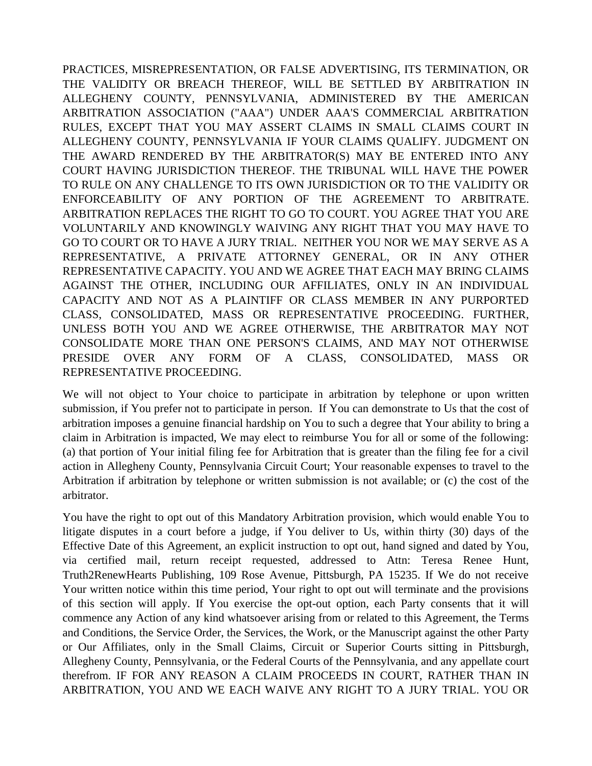PRACTICES, MISREPRESENTATION, OR FALSE ADVERTISING, ITS TERMINATION, OR THE VALIDITY OR BREACH THEREOF, WILL BE SETTLED BY ARBITRATION IN ALLEGHENY COUNTY, PENNSYLVANIA, ADMINISTERED BY THE AMERICAN ARBITRATION ASSOCIATION ("AAA") UNDER AAA'S COMMERCIAL ARBITRATION RULES, EXCEPT THAT YOU MAY ASSERT CLAIMS IN SMALL CLAIMS COURT IN ALLEGHENY COUNTY, PENNSYLVANIA IF YOUR CLAIMS QUALIFY. JUDGMENT ON THE AWARD RENDERED BY THE ARBITRATOR(S) MAY BE ENTERED INTO ANY COURT HAVING JURISDICTION THEREOF. THE TRIBUNAL WILL HAVE THE POWER TO RULE ON ANY CHALLENGE TO ITS OWN JURISDICTION OR TO THE VALIDITY OR ENFORCEABILITY OF ANY PORTION OF THE AGREEMENT TO ARBITRATE. ARBITRATION REPLACES THE RIGHT TO GO TO COURT. YOU AGREE THAT YOU ARE VOLUNTARILY AND KNOWINGLY WAIVING ANY RIGHT THAT YOU MAY HAVE TO GO TO COURT OR TO HAVE A JURY TRIAL. NEITHER YOU NOR WE MAY SERVE AS A REPRESENTATIVE, A PRIVATE ATTORNEY GENERAL, OR IN ANY OTHER REPRESENTATIVE CAPACITY. YOU AND WE AGREE THAT EACH MAY BRING CLAIMS AGAINST THE OTHER, INCLUDING OUR AFFILIATES, ONLY IN AN INDIVIDUAL CAPACITY AND NOT AS A PLAINTIFF OR CLASS MEMBER IN ANY PURPORTED CLASS, CONSOLIDATED, MASS OR REPRESENTATIVE PROCEEDING. FURTHER, UNLESS BOTH YOU AND WE AGREE OTHERWISE, THE ARBITRATOR MAY NOT CONSOLIDATE MORE THAN ONE PERSON'S CLAIMS, AND MAY NOT OTHERWISE PRESIDE OVER ANY FORM OF A CLASS, CONSOLIDATED, MASS OR REPRESENTATIVE PROCEEDING.

We will not object to Your choice to participate in arbitration by telephone or upon written submission, if You prefer not to participate in person. If You can demonstrate to Us that the cost of arbitration imposes a genuine financial hardship on You to such a degree that Your ability to bring a claim in Arbitration is impacted, We may elect to reimburse You for all or some of the following: (a) that portion of Your initial filing fee for Arbitration that is greater than the filing fee for a civil action in Allegheny County, Pennsylvania Circuit Court; Your reasonable expenses to travel to the Arbitration if arbitration by telephone or written submission is not available; or (c) the cost of the arbitrator.

You have the right to opt out of this Mandatory Arbitration provision, which would enable You to litigate disputes in a court before a judge, if You deliver to Us, within thirty (30) days of the Effective Date of this Agreement, an explicit instruction to opt out, hand signed and dated by You, via certified mail, return receipt requested, addressed to Attn: Teresa Renee Hunt, Truth2RenewHearts Publishing, 109 Rose Avenue, Pittsburgh, PA 15235. If We do not receive Your written notice within this time period, Your right to opt out will terminate and the provisions of this section will apply. If You exercise the opt-out option, each Party consents that it will commence any Action of any kind whatsoever arising from or related to this Agreement, the Terms and Conditions, the Service Order, the Services, the Work, or the Manuscript against the other Party or Our Affiliates, only in the Small Claims, Circuit or Superior Courts sitting in Pittsburgh, Allegheny County, Pennsylvania, or the Federal Courts of the Pennsylvania, and any appellate court therefrom. IF FOR ANY REASON A CLAIM PROCEEDS IN COURT, RATHER THAN IN ARBITRATION, YOU AND WE EACH WAIVE ANY RIGHT TO A JURY TRIAL. YOU OR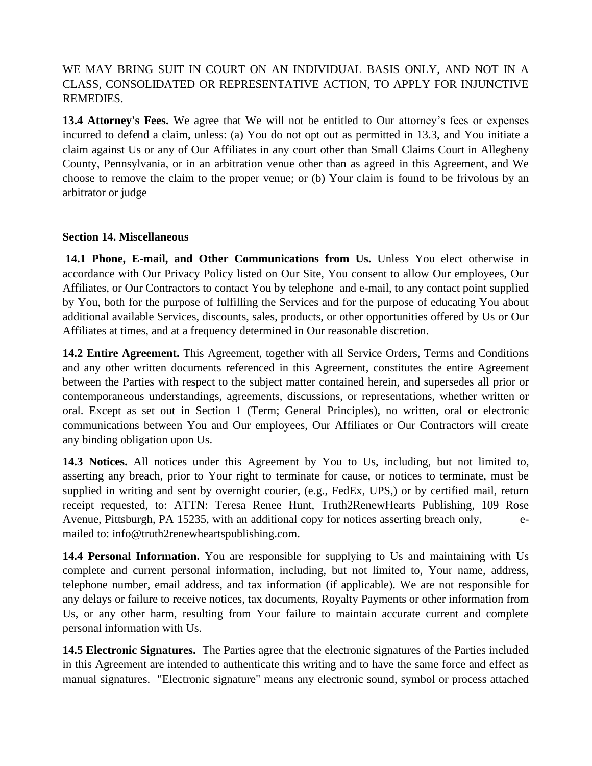## WE MAY BRING SUIT IN COURT ON AN INDIVIDUAL BASIS ONLY, AND NOT IN A CLASS, CONSOLIDATED OR REPRESENTATIVE ACTION, TO APPLY FOR INJUNCTIVE REMEDIES.

**13.4 Attorney's Fees.** We agree that We will not be entitled to Our attorney's fees or expenses incurred to defend a claim, unless: (a) You do not opt out as permitted in 13.3, and You initiate a claim against Us or any of Our Affiliates in any court other than Small Claims Court in Allegheny County, Pennsylvania, or in an arbitration venue other than as agreed in this Agreement, and We choose to remove the claim to the proper venue; or (b) Your claim is found to be frivolous by an arbitrator or judge

#### **Section 14. Miscellaneous**

**14.1 Phone, E-mail, and Other Communications from Us.** Unless You elect otherwise in accordance with Our Privacy Policy listed on Our Site, You consent to allow Our employees, Our Affiliates, or Our Contractors to contact You by telephone and e-mail, to any contact point supplied by You, both for the purpose of fulfilling the Services and for the purpose of educating You about additional available Services, discounts, sales, products, or other opportunities offered by Us or Our Affiliates at times, and at a frequency determined in Our reasonable discretion.

**14.2 Entire Agreement.** This Agreement, together with all Service Orders, Terms and Conditions and any other written documents referenced in this Agreement, constitutes the entire Agreement between the Parties with respect to the subject matter contained herein, and supersedes all prior or contemporaneous understandings, agreements, discussions, or representations, whether written or oral. Except as set out in Section 1 (Term; General Principles), no written, oral or electronic communications between You and Our employees, Our Affiliates or Our Contractors will create any binding obligation upon Us.

**14.3 Notices.** All notices under this Agreement by You to Us, including, but not limited to, asserting any breach, prior to Your right to terminate for cause, or notices to terminate, must be supplied in writing and sent by overnight courier, (e.g., FedEx, UPS,) or by certified mail, return receipt requested, to: ATTN: Teresa Renee Hunt, Truth2RenewHearts Publishing, 109 Rose Avenue, Pittsburgh, PA 15235, with an additional copy for notices asserting breach only, emailed to: info@truth2renewheartspublishing.com.

14.4 Personal Information. You are responsible for supplying to Us and maintaining with Us complete and current personal information, including, but not limited to, Your name, address, telephone number, email address, and tax information (if applicable). We are not responsible for any delays or failure to receive notices, tax documents, Royalty Payments or other information from Us, or any other harm, resulting from Your failure to maintain accurate current and complete personal information with Us.

**14.5 Electronic Signatures.** The Parties agree that the electronic signatures of the Parties included in this Agreement are intended to authenticate this writing and to have the same force and effect as manual signatures. "Electronic signature" means any electronic sound, symbol or process attached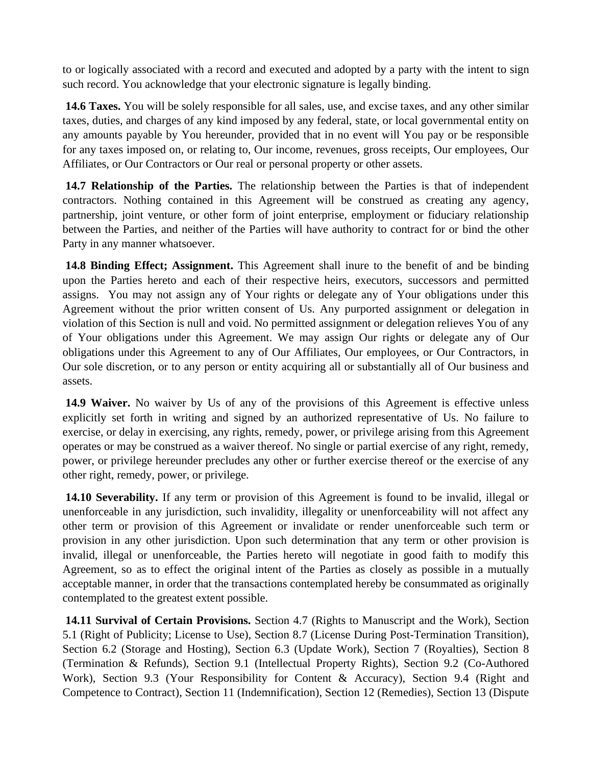to or logically associated with a record and executed and adopted by a party with the intent to sign such record. You acknowledge that your electronic signature is legally binding.

**14.6 Taxes.** You will be solely responsible for all sales, use, and excise taxes, and any other similar taxes, duties, and charges of any kind imposed by any federal, state, or local governmental entity on any amounts payable by You hereunder, provided that in no event will You pay or be responsible for any taxes imposed on, or relating to, Our income, revenues, gross receipts, Our employees, Our Affiliates, or Our Contractors or Our real or personal property or other assets.

**14.7 Relationship of the Parties.** The relationship between the Parties is that of independent contractors. Nothing contained in this Agreement will be construed as creating any agency, partnership, joint venture, or other form of joint enterprise, employment or fiduciary relationship between the Parties, and neither of the Parties will have authority to contract for or bind the other Party in any manner whatsoever.

**14.8 Binding Effect; Assignment.** This Agreement shall inure to the benefit of and be binding upon the Parties hereto and each of their respective heirs, executors, successors and permitted assigns. You may not assign any of Your rights or delegate any of Your obligations under this Agreement without the prior written consent of Us. Any purported assignment or delegation in violation of this Section is null and void. No permitted assignment or delegation relieves You of any of Your obligations under this Agreement. We may assign Our rights or delegate any of Our obligations under this Agreement to any of Our Affiliates, Our employees, or Our Contractors, in Our sole discretion, or to any person or entity acquiring all or substantially all of Our business and assets.

**14.9 Waiver.** No waiver by Us of any of the provisions of this Agreement is effective unless explicitly set forth in writing and signed by an authorized representative of Us. No failure to exercise, or delay in exercising, any rights, remedy, power, or privilege arising from this Agreement operates or may be construed as a waiver thereof. No single or partial exercise of any right, remedy, power, or privilege hereunder precludes any other or further exercise thereof or the exercise of any other right, remedy, power, or privilege.

**14.10 Severability.** If any term or provision of this Agreement is found to be invalid, illegal or unenforceable in any jurisdiction, such invalidity, illegality or unenforceability will not affect any other term or provision of this Agreement or invalidate or render unenforceable such term or provision in any other jurisdiction. Upon such determination that any term or other provision is invalid, illegal or unenforceable, the Parties hereto will negotiate in good faith to modify this Agreement, so as to effect the original intent of the Parties as closely as possible in a mutually acceptable manner, in order that the transactions contemplated hereby be consummated as originally contemplated to the greatest extent possible.

**14.11 Survival of Certain Provisions.** Section 4.7 (Rights to Manuscript and the Work), Section 5.1 (Right of Publicity; License to Use), Section 8.7 (License During Post-Termination Transition), Section 6.2 (Storage and Hosting), Section 6.3 (Update Work), Section 7 (Royalties), Section 8 (Termination & Refunds), Section 9.1 (Intellectual Property Rights), Section 9.2 (Co-Authored Work), Section 9.3 (Your Responsibility for Content & Accuracy), Section 9.4 (Right and Competence to Contract), Section 11 (Indemnification), Section 12 (Remedies), Section 13 (Dispute